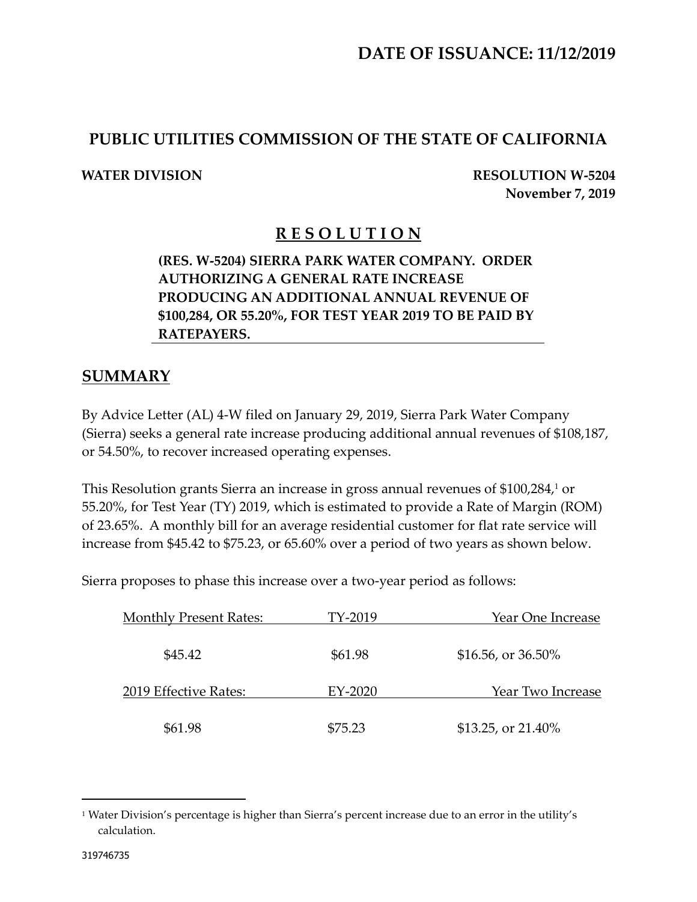**DATE OF ISSUANCE: 11/12/2019**

### **PUBLIC UTILITIES COMMISSION OF THE STATE OF CALIFORNIA**

**WATER DIVISION RESOLUTION W-5204 November 7, 2019**

## **R E S O L U T I O N**

## **(RES. W-5204) SIERRA PARK WATER COMPANY. ORDER AUTHORIZING A GENERAL RATE INCREASE PRODUCING AN ADDITIONAL ANNUAL REVENUE OF \$100,284, OR 55.20%, FOR TEST YEAR 2019 TO BE PAID BY RATEPAYERS.**

## **SUMMARY**

By Advice Letter (AL) 4-W filed on January 29, 2019, Sierra Park Water Company (Sierra) seeks a general rate increase producing additional annual revenues of \$108,187, or 54.50%, to recover increased operating expenses.

This Resolution grants Sierra an increase in gross annual revenues of \$100,284, <sup>1</sup> or 55.20%, for Test Year (TY) 2019, which is estimated to provide a Rate of Margin (ROM) of 23.65%. A monthly bill for an average residential customer for flat rate service will increase from \$45.42 to \$75.23, or 65.60% over a period of two years as shown below.

Sierra proposes to phase this increase over a two-year period as follows:

| <b>Monthly Present Rates:</b> | TY-2019   | Year One Increase     |
|-------------------------------|-----------|-----------------------|
| \$45.42                       | \$61.98   | \$16.56, or $36.50\%$ |
| 2019 Effective Rates:         | $EY-2020$ | Year Two Increase     |
| \$61.98                       | \$75.23   | \$13.25, or $21.40\%$ |

<sup>1</sup> Water Division's percentage is higher than Sierra's percent increase due to an error in the utility's calculation.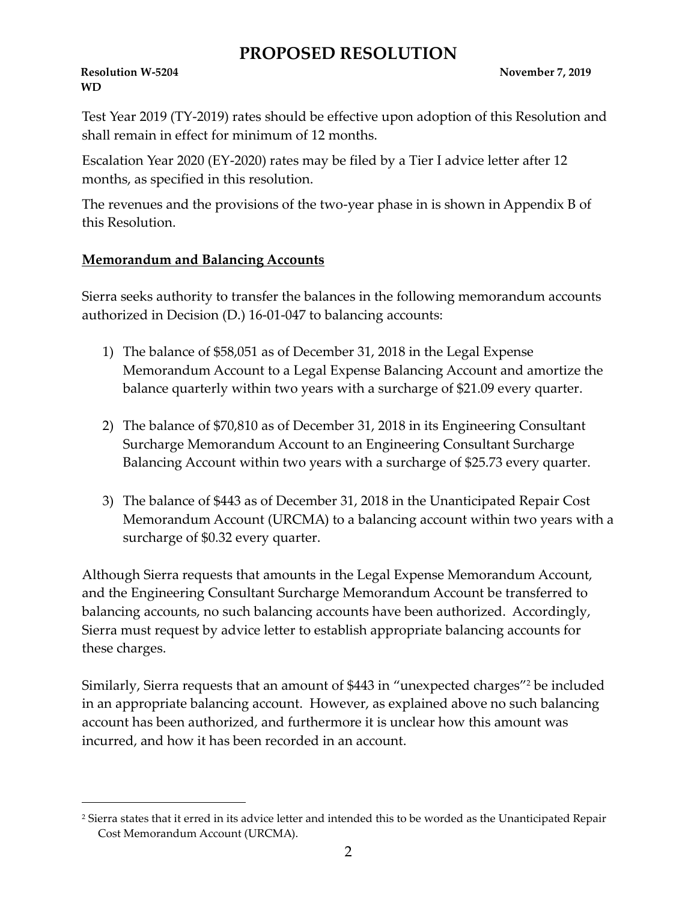**Resolution W-5204 WD**

 **November 7, 2019** 

Test Year 2019 (TY-2019) rates should be effective upon adoption of this Resolution and shall remain in effect for minimum of 12 months.

Escalation Year 2020 (EY-2020) rates may be filed by a Tier I advice letter after 12 months, as specified in this resolution.

The revenues and the provisions of the two-year phase in is shown in Appendix B of this Resolution.

#### **Memorandum and Balancing Accounts**

Sierra seeks authority to transfer the balances in the following memorandum accounts authorized in Decision (D.) 16-01-047 to balancing accounts:

- 1) The balance of \$58,051 as of December 31, 2018 in the Legal Expense Memorandum Account to a Legal Expense Balancing Account and amortize the balance quarterly within two years with a surcharge of \$21.09 every quarter.
- 2) The balance of \$70,810 as of December 31, 2018 in its Engineering Consultant Surcharge Memorandum Account to an Engineering Consultant Surcharge Balancing Account within two years with a surcharge of \$25.73 every quarter.
- 3) The balance of \$443 as of December 31, 2018 in the Unanticipated Repair Cost Memorandum Account (URCMA) to a balancing account within two years with a surcharge of \$0.32 every quarter.

Although Sierra requests that amounts in the Legal Expense Memorandum Account, and the Engineering Consultant Surcharge Memorandum Account be transferred to balancing accounts, no such balancing accounts have been authorized. Accordingly, Sierra must request by advice letter to establish appropriate balancing accounts for these charges.

Similarly, Sierra requests that an amount of \$443 in "unexpected charges"<sup>2</sup> be included in an appropriate balancing account. However, as explained above no such balancing account has been authorized, and furthermore it is unclear how this amount was incurred, and how it has been recorded in an account.

<sup>2</sup> Sierra states that it erred in its advice letter and intended this to be worded as the Unanticipated Repair Cost Memorandum Account (URCMA).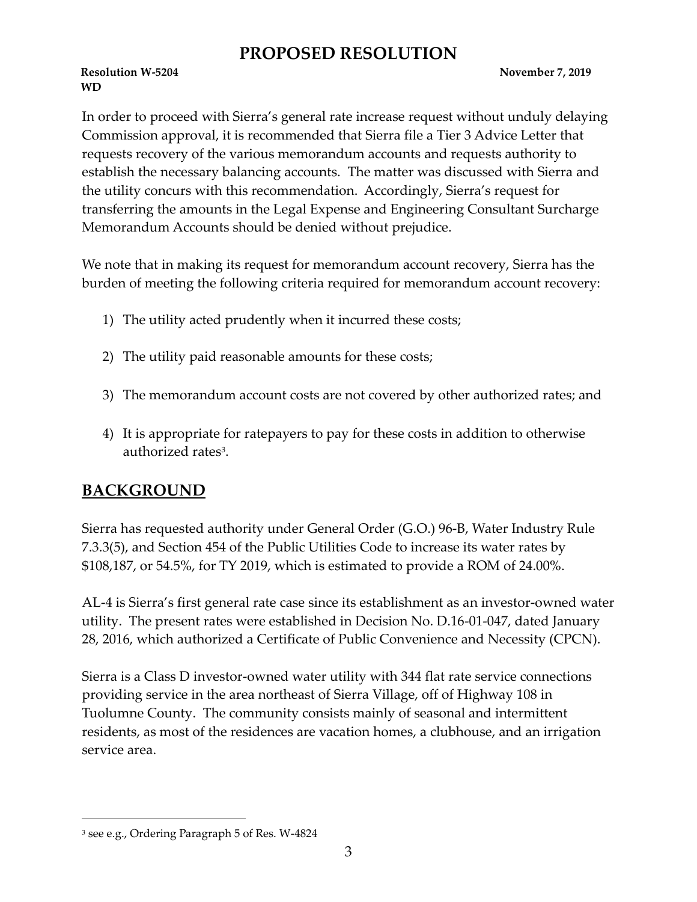**Resolution W-5204 WD**

In order to proceed with Sierra's general rate increase request without unduly delaying Commission approval, it is recommended that Sierra file a Tier 3 Advice Letter that requests recovery of the various memorandum accounts and requests authority to establish the necessary balancing accounts. The matter was discussed with Sierra and the utility concurs with this recommendation. Accordingly, Sierra's request for transferring the amounts in the Legal Expense and Engineering Consultant Surcharge Memorandum Accounts should be denied without prejudice.

We note that in making its request for memorandum account recovery, Sierra has the burden of meeting the following criteria required for memorandum account recovery:

- 1) The utility acted prudently when it incurred these costs;
- 2) The utility paid reasonable amounts for these costs;
- 3) The memorandum account costs are not covered by other authorized rates; and
- 4) It is appropriate for ratepayers to pay for these costs in addition to otherwise authorized rates<sup>3</sup>.

## **BACKGROUND**

Sierra has requested authority under General Order (G.O.) 96-B, Water Industry Rule 7.3.3(5), and Section 454 of the Public Utilities Code to increase its water rates by \$108,187, or 54.5%, for TY 2019, which is estimated to provide a ROM of 24.00%.

AL-4 is Sierra's first general rate case since its establishment as an investor-owned water utility. The present rates were established in Decision No. D.16-01-047, dated January 28, 2016, which authorized a Certificate of Public Convenience and Necessity (CPCN).

Sierra is a Class D investor-owned water utility with 344 flat rate service connections providing service in the area northeast of Sierra Village, off of Highway 108 in Tuolumne County. The community consists mainly of seasonal and intermittent residents, as most of the residences are vacation homes, a clubhouse, and an irrigation service area.

<sup>3</sup> see e.g., Ordering Paragraph 5 of Res. W-4824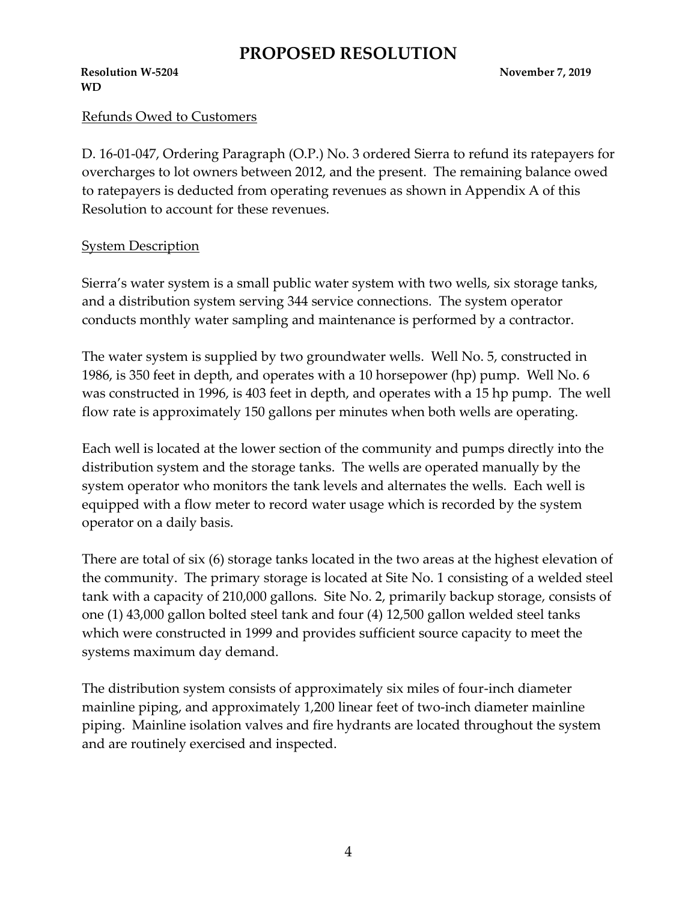**Resolution W-5204 WD**

 **November 7, 2019** 

#### Refunds Owed to Customers

D. 16-01-047, Ordering Paragraph (O.P.) No. 3 ordered Sierra to refund its ratepayers for overcharges to lot owners between 2012, and the present. The remaining balance owed to ratepayers is deducted from operating revenues as shown in Appendix A of this Resolution to account for these revenues.

#### System Description

Sierra's water system is a small public water system with two wells, six storage tanks, and a distribution system serving 344 service connections. The system operator conducts monthly water sampling and maintenance is performed by a contractor.

The water system is supplied by two groundwater wells. Well No. 5, constructed in 1986, is 350 feet in depth, and operates with a 10 horsepower (hp) pump. Well No. 6 was constructed in 1996, is 403 feet in depth, and operates with a 15 hp pump. The well flow rate is approximately 150 gallons per minutes when both wells are operating.

Each well is located at the lower section of the community and pumps directly into the distribution system and the storage tanks. The wells are operated manually by the system operator who monitors the tank levels and alternates the wells. Each well is equipped with a flow meter to record water usage which is recorded by the system operator on a daily basis.

There are total of six (6) storage tanks located in the two areas at the highest elevation of the community. The primary storage is located at Site No. 1 consisting of a welded steel tank with a capacity of 210,000 gallons. Site No. 2, primarily backup storage, consists of one (1) 43,000 gallon bolted steel tank and four (4) 12,500 gallon welded steel tanks which were constructed in 1999 and provides sufficient source capacity to meet the systems maximum day demand.

The distribution system consists of approximately six miles of four-inch diameter mainline piping, and approximately 1,200 linear feet of two-inch diameter mainline piping. Mainline isolation valves and fire hydrants are located throughout the system and are routinely exercised and inspected.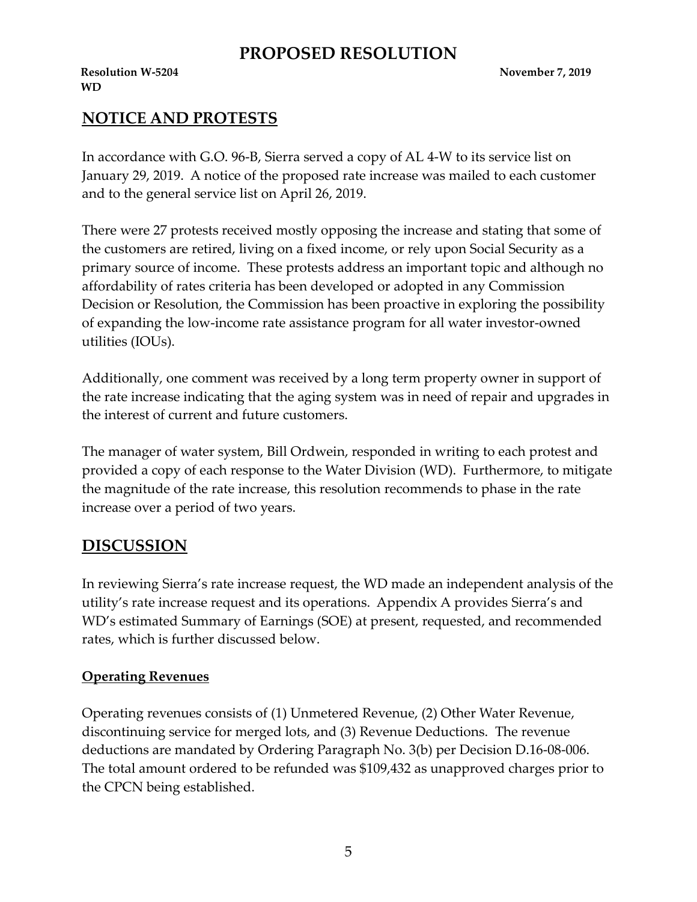**Resolution W-5204 WD**

## **NOTICE AND PROTESTS**

In accordance with G.O. 96-B, Sierra served a copy of AL 4-W to its service list on January 29, 2019. A notice of the proposed rate increase was mailed to each customer and to the general service list on April 26, 2019.

There were 27 protests received mostly opposing the increase and stating that some of the customers are retired, living on a fixed income, or rely upon Social Security as a primary source of income. These protests address an important topic and although no affordability of rates criteria has been developed or adopted in any Commission Decision or Resolution, the Commission has been proactive in exploring the possibility of expanding the low-income rate assistance program for all water investor-owned utilities (IOUs).

Additionally, one comment was received by a long term property owner in support of the rate increase indicating that the aging system was in need of repair and upgrades in the interest of current and future customers.

The manager of water system, Bill Ordwein, responded in writing to each protest and provided a copy of each response to the Water Division (WD). Furthermore, to mitigate the magnitude of the rate increase, this resolution recommends to phase in the rate increase over a period of two years.

### **DISCUSSION**

In reviewing Sierra's rate increase request, the WD made an independent analysis of the utility's rate increase request and its operations. Appendix A provides Sierra's and WD's estimated Summary of Earnings (SOE) at present, requested, and recommended rates, which is further discussed below.

#### **Operating Revenues**

Operating revenues consists of (1) Unmetered Revenue, (2) Other Water Revenue, discontinuing service for merged lots, and (3) Revenue Deductions. The revenue deductions are mandated by Ordering Paragraph No. 3(b) per Decision D.16-08-006. The total amount ordered to be refunded was \$109,432 as unapproved charges prior to the CPCN being established.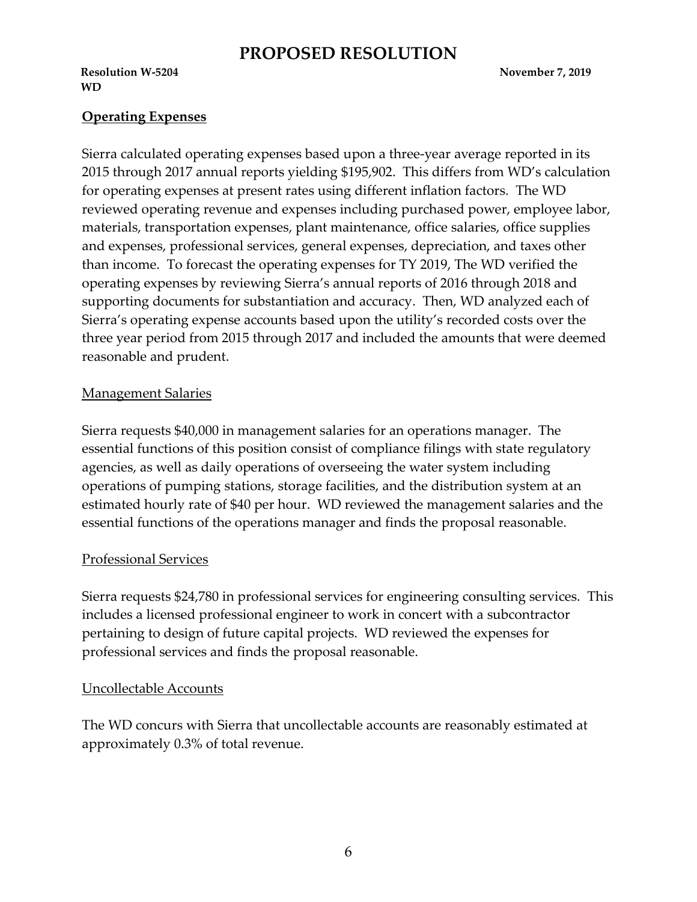**Resolution W-5204 WD**

 **November 7, 2019** 

#### **Operating Expenses**

Sierra calculated operating expenses based upon a three-year average reported in its 2015 through 2017 annual reports yielding \$195,902. This differs from WD's calculation for operating expenses at present rates using different inflation factors. The WD reviewed operating revenue and expenses including purchased power, employee labor, materials, transportation expenses, plant maintenance, office salaries, office supplies and expenses, professional services, general expenses, depreciation, and taxes other than income. To forecast the operating expenses for TY 2019, The WD verified the operating expenses by reviewing Sierra's annual reports of 2016 through 2018 and supporting documents for substantiation and accuracy. Then, WD analyzed each of Sierra's operating expense accounts based upon the utility's recorded costs over the three year period from 2015 through 2017 and included the amounts that were deemed reasonable and prudent.

#### Management Salaries

Sierra requests \$40,000 in management salaries for an operations manager. The essential functions of this position consist of compliance filings with state regulatory agencies, as well as daily operations of overseeing the water system including operations of pumping stations, storage facilities, and the distribution system at an estimated hourly rate of \$40 per hour. WD reviewed the management salaries and the essential functions of the operations manager and finds the proposal reasonable.

#### Professional Services

Sierra requests \$24,780 in professional services for engineering consulting services. This includes a licensed professional engineer to work in concert with a subcontractor pertaining to design of future capital projects. WD reviewed the expenses for professional services and finds the proposal reasonable.

#### Uncollectable Accounts

The WD concurs with Sierra that uncollectable accounts are reasonably estimated at approximately 0.3% of total revenue.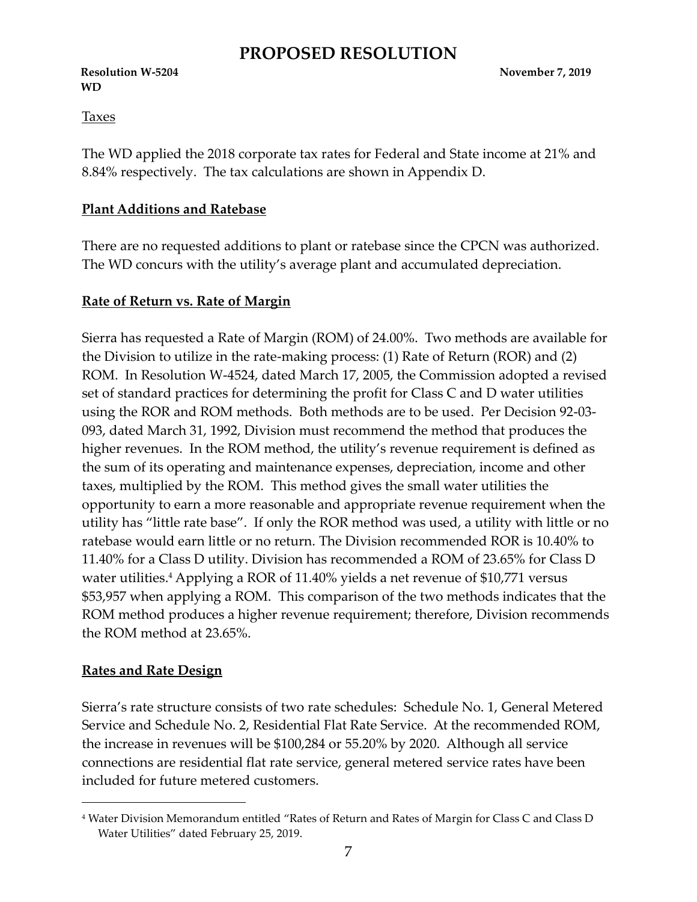**Resolution W-5204 WD**

 **November 7, 2019** 

#### Taxes

The WD applied the 2018 corporate tax rates for Federal and State income at 21% and 8.84% respectively. The tax calculations are shown in Appendix D.

#### **Plant Additions and Ratebase**

There are no requested additions to plant or ratebase since the CPCN was authorized. The WD concurs with the utility's average plant and accumulated depreciation.

#### **Rate of Return vs. Rate of Margin**

Sierra has requested a Rate of Margin (ROM) of 24.00%. Two methods are available for the Division to utilize in the rate-making process: (1) Rate of Return (ROR) and (2) ROM. In Resolution W-4524, dated March 17, 2005, the Commission adopted a revised set of standard practices for determining the profit for Class C and D water utilities using the ROR and ROM methods. Both methods are to be used. Per Decision 92-03- 093, dated March 31, 1992, Division must recommend the method that produces the higher revenues. In the ROM method, the utility's revenue requirement is defined as the sum of its operating and maintenance expenses, depreciation, income and other taxes, multiplied by the ROM. This method gives the small water utilities the opportunity to earn a more reasonable and appropriate revenue requirement when the utility has "little rate base". If only the ROR method was used, a utility with little or no ratebase would earn little or no return. The Division recommended ROR is 10.40% to 11.40% for a Class D utility. Division has recommended a ROM of 23.65% for Class D water utilities.<sup>4</sup> Applying a ROR of 11.40% yields a net revenue of \$10,771 versus \$53,957 when applying a ROM. This comparison of the two methods indicates that the ROM method produces a higher revenue requirement; therefore, Division recommends the ROM method at 23.65%.

### **Rates and Rate Design**

Sierra's rate structure consists of two rate schedules: Schedule No. 1, General Metered Service and Schedule No. 2, Residential Flat Rate Service. At the recommended ROM, the increase in revenues will be \$100,284 or 55.20% by 2020. Although all service connections are residential flat rate service, general metered service rates have been included for future metered customers.

<sup>4</sup> Water Division Memorandum entitled "Rates of Return and Rates of Margin for Class C and Class D Water Utilities" dated February 25, 2019.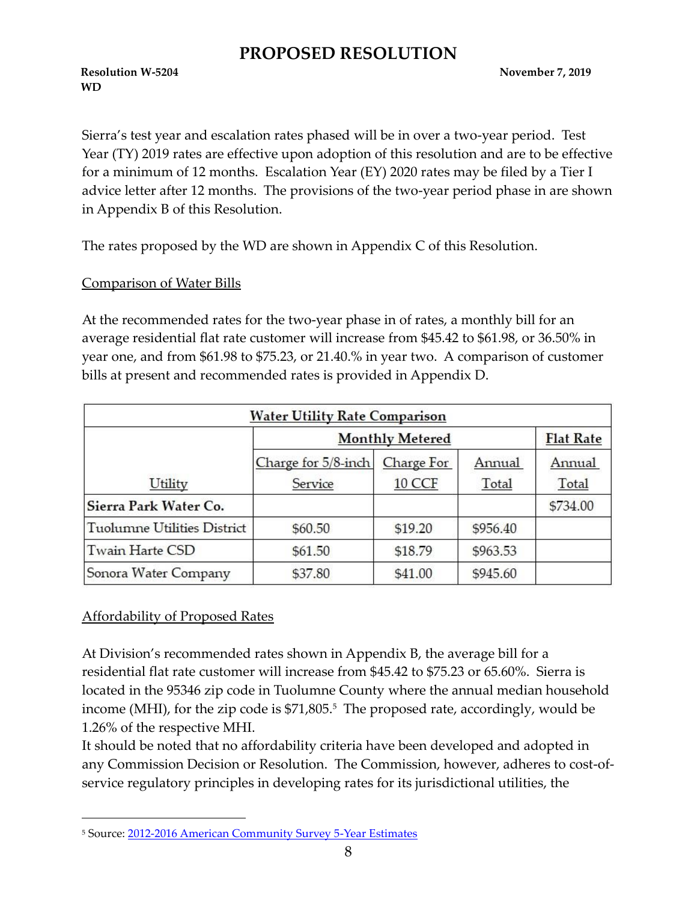**Resolution W-5204 WD**

Sierra's test year and escalation rates phased will be in over a two-year period. Test Year (TY) 2019 rates are effective upon adoption of this resolution and are to be effective for a minimum of 12 months. Escalation Year (EY) 2020 rates may be filed by a Tier I advice letter after 12 months. The provisions of the two-year period phase in are shown in Appendix B of this Resolution.

The rates proposed by the WD are shown in Appendix C of this Resolution.

#### Comparison of Water Bills

At the recommended rates for the two-year phase in of rates, a monthly bill for an average residential flat rate customer will increase from \$45.42 to \$61.98, or 36.50% in year one, and from \$61.98 to \$75.23, or 21.40.% in year two. A comparison of customer bills at present and recommended rates is provided in Appendix D.

|                             | <b>Water Utility Rate Comparison</b>       |            |          |          |  |
|-----------------------------|--------------------------------------------|------------|----------|----------|--|
|                             | <b>Flat Rate</b><br><b>Monthly Metered</b> |            |          |          |  |
|                             | Charge for 5/8-inch                        | Charge For | Annual   | Annual   |  |
| Utility                     | Service                                    | 10 CCF     | Total    | Total    |  |
| Sierra Park Water Co.       |                                            |            |          | \$734.00 |  |
| Tuolumne Utilities District | \$60.50                                    | \$19.20    | \$956.40 |          |  |
| Twain Harte CSD             | \$61.50                                    | \$18.79    | \$963.53 |          |  |
| Sonora Water Company        | \$37.80                                    | \$41.00    | \$945.60 |          |  |

#### Affordability of Proposed Rates

At Division's recommended rates shown in Appendix B, the average bill for a residential flat rate customer will increase from \$45.42 to \$75.23 or 65.60%. Sierra is located in the 95346 zip code in Tuolumne County where the annual median household income (MHI), for the zip code is \$71,805. 5 The proposed rate, accordingly, would be 1.26% of the respective MHI.

It should be noted that no affordability criteria have been developed and adopted in any Commission Decision or Resolution. The Commission, however, adheres to cost-ofservice regulatory principles in developing rates for its jurisdictional utilities, the

<sup>&</sup>lt;sup>5</sup> Source: [2012-2016 American Community Survey 5-Year Estimates](https://factfinder.census.gov/bkmk/table/1.0/en/ACS/16_5YR/S1901/8600000US95006)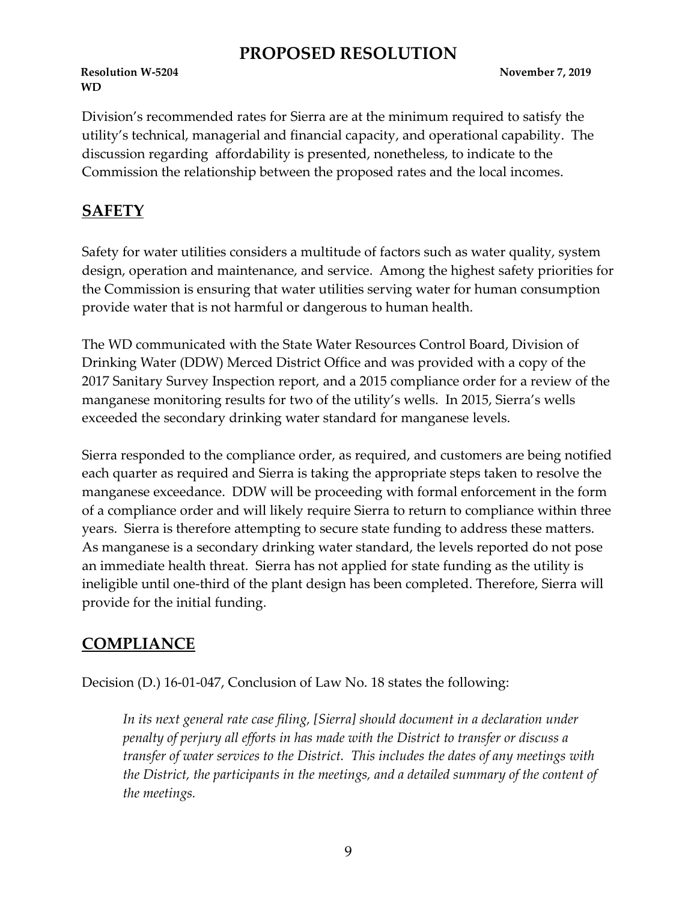**Resolution W-5204 WD**

 **November 7, 2019** 

Division's recommended rates for Sierra are at the minimum required to satisfy the utility's technical, managerial and financial capacity, and operational capability. The discussion regarding affordability is presented, nonetheless, to indicate to the Commission the relationship between the proposed rates and the local incomes.

## **SAFETY**

Safety for water utilities considers a multitude of factors such as water quality, system design, operation and maintenance, and service. Among the highest safety priorities for the Commission is ensuring that water utilities serving water for human consumption provide water that is not harmful or dangerous to human health.

The WD communicated with the State Water Resources Control Board, Division of Drinking Water (DDW) Merced District Office and was provided with a copy of the 2017 Sanitary Survey Inspection report, and a 2015 compliance order for a review of the manganese monitoring results for two of the utility's wells. In 2015, Sierra's wells exceeded the secondary drinking water standard for manganese levels.

Sierra responded to the compliance order, as required, and customers are being notified each quarter as required and Sierra is taking the appropriate steps taken to resolve the manganese exceedance. DDW will be proceeding with formal enforcement in the form of a compliance order and will likely require Sierra to return to compliance within three years. Sierra is therefore attempting to secure state funding to address these matters. As manganese is a secondary drinking water standard, the levels reported do not pose an immediate health threat. Sierra has not applied for state funding as the utility is ineligible until one-third of the plant design has been completed. Therefore, Sierra will provide for the initial funding.

## **COMPLIANCE**

Decision (D.) 16-01-047, Conclusion of Law No. 18 states the following:

In its next general rate case filing, [Sierra] should document in a declaration under *penalty of perjury all efforts in has made with the District to transfer or discuss a transfer of water services to the District. This includes the dates of any meetings with the District, the participants in the meetings, and a detailed summary of the content of the meetings.*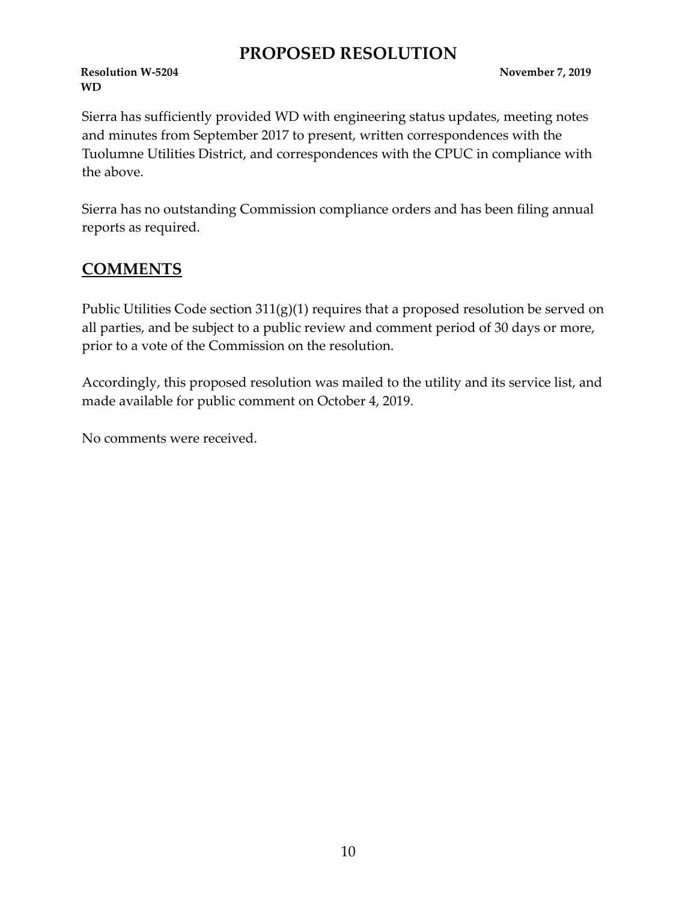**Resolution W-5204 WD**

 **November 7, 2019** 

Sierra has sufficiently provided WD with engineering status updates, meeting notes and minutes from September 2017 to present, written correspondences with the Tuolumne Utilities District, and correspondences with the CPUC in compliance with the above.

Sierra has no outstanding Commission compliance orders and has been filing annual reports as required.

## **COMMENTS**

Public Utilities Code section 311(g)(1) requires that a proposed resolution be served on all parties, and be subject to a public review and comment period of 30 days or more, prior to a vote of the Commission on the resolution.

Accordingly, this proposed resolution was mailed to the utility and its service list, and made available for public comment on October 4, 2019.

No comments were received.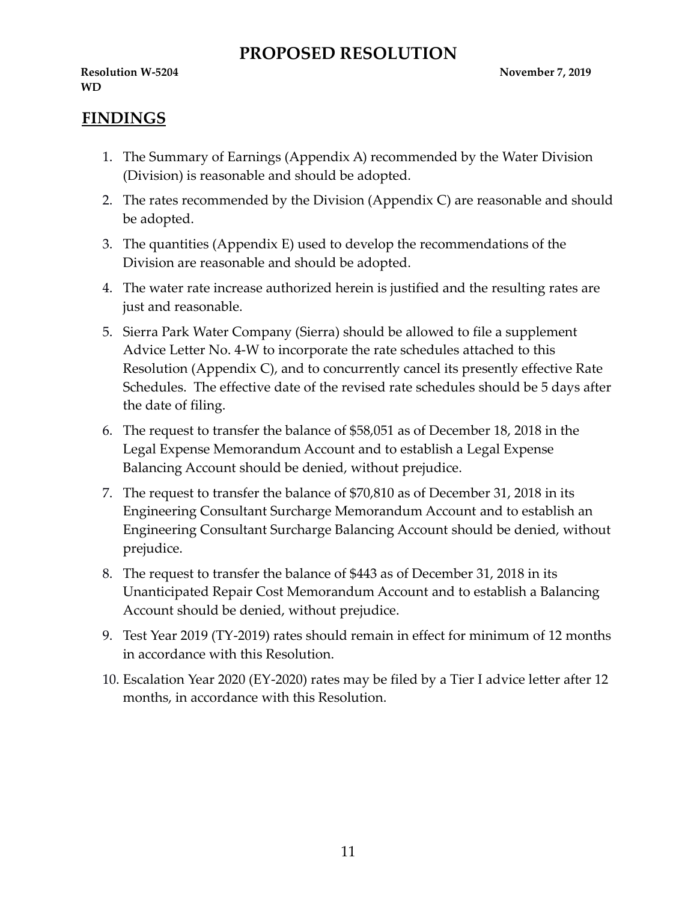### **FINDINGS**

- 1. The Summary of Earnings (Appendix A) recommended by the Water Division (Division) is reasonable and should be adopted.
- 2. The rates recommended by the Division (Appendix C) are reasonable and should be adopted.
- 3. The quantities (Appendix E) used to develop the recommendations of the Division are reasonable and should be adopted.
- 4. The water rate increase authorized herein is justified and the resulting rates are just and reasonable.
- 5. Sierra Park Water Company (Sierra) should be allowed to file a supplement Advice Letter No. 4-W to incorporate the rate schedules attached to this Resolution (Appendix C), and to concurrently cancel its presently effective Rate Schedules. The effective date of the revised rate schedules should be 5 days after the date of filing.
- 6. The request to transfer the balance of \$58,051 as of December 18, 2018 in the Legal Expense Memorandum Account and to establish a Legal Expense Balancing Account should be denied, without prejudice.
- 7. The request to transfer the balance of \$70,810 as of December 31, 2018 in its Engineering Consultant Surcharge Memorandum Account and to establish an Engineering Consultant Surcharge Balancing Account should be denied, without prejudice.
- 8. The request to transfer the balance of \$443 as of December 31, 2018 in its Unanticipated Repair Cost Memorandum Account and to establish a Balancing Account should be denied, without prejudice.
- 9. Test Year 2019 (TY-2019) rates should remain in effect for minimum of 12 months in accordance with this Resolution.
- 10. Escalation Year 2020 (EY-2020) rates may be filed by a Tier I advice letter after 12 months, in accordance with this Resolution.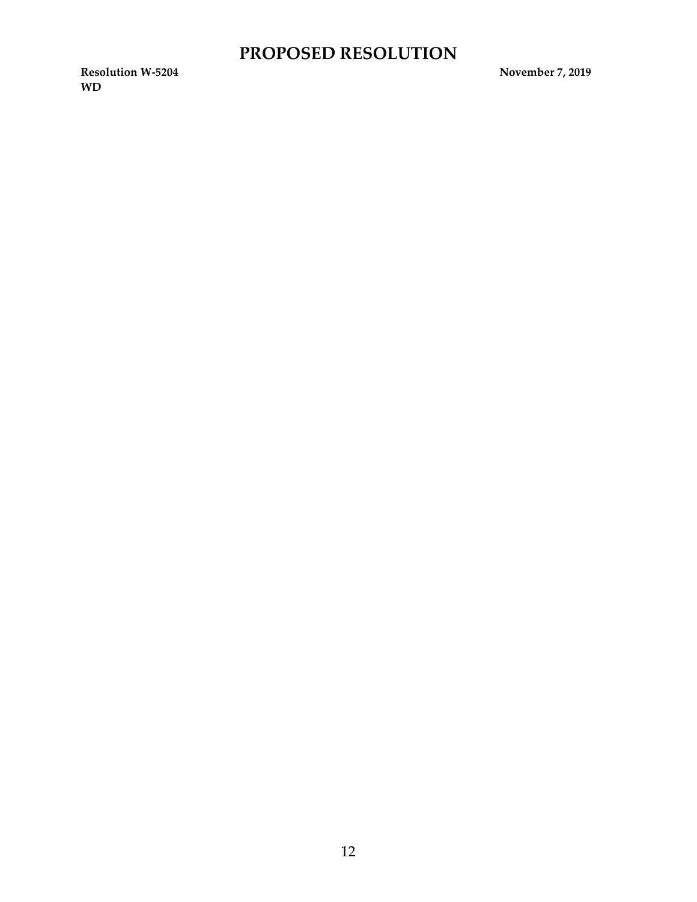**Resolution W-5204 WD**

 **November 7, 2019**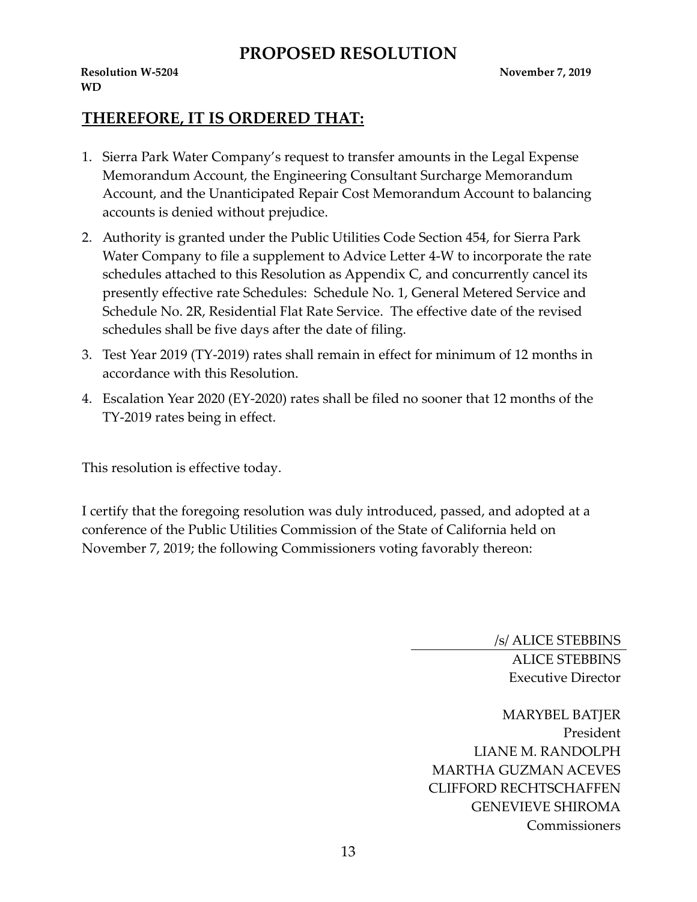## **THEREFORE, IT IS ORDERED THAT:**

- 1. Sierra Park Water Company's request to transfer amounts in the Legal Expense Memorandum Account, the Engineering Consultant Surcharge Memorandum Account, and the Unanticipated Repair Cost Memorandum Account to balancing accounts is denied without prejudice.
- 2. Authority is granted under the Public Utilities Code Section 454, for Sierra Park Water Company to file a supplement to Advice Letter 4-W to incorporate the rate schedules attached to this Resolution as Appendix C, and concurrently cancel its presently effective rate Schedules: Schedule No. 1, General Metered Service and Schedule No. 2R, Residential Flat Rate Service. The effective date of the revised schedules shall be five days after the date of filing.
- 3. Test Year 2019 (TY-2019) rates shall remain in effect for minimum of 12 months in accordance with this Resolution.
- 4. Escalation Year 2020 (EY-2020) rates shall be filed no sooner that 12 months of the TY-2019 rates being in effect.

This resolution is effective today.

I certify that the foregoing resolution was duly introduced, passed, and adopted at a conference of the Public Utilities Commission of the State of California held on November 7, 2019; the following Commissioners voting favorably thereon:

> /s/ ALICE STEBBINS ALICE STEBBINS Executive Director

MARYBEL BATJER President LIANE M. RANDOLPH MARTHA GUZMAN ACEVES CLIFFORD RECHTSCHAFFEN GENEVIEVE SHIROMA Commissioners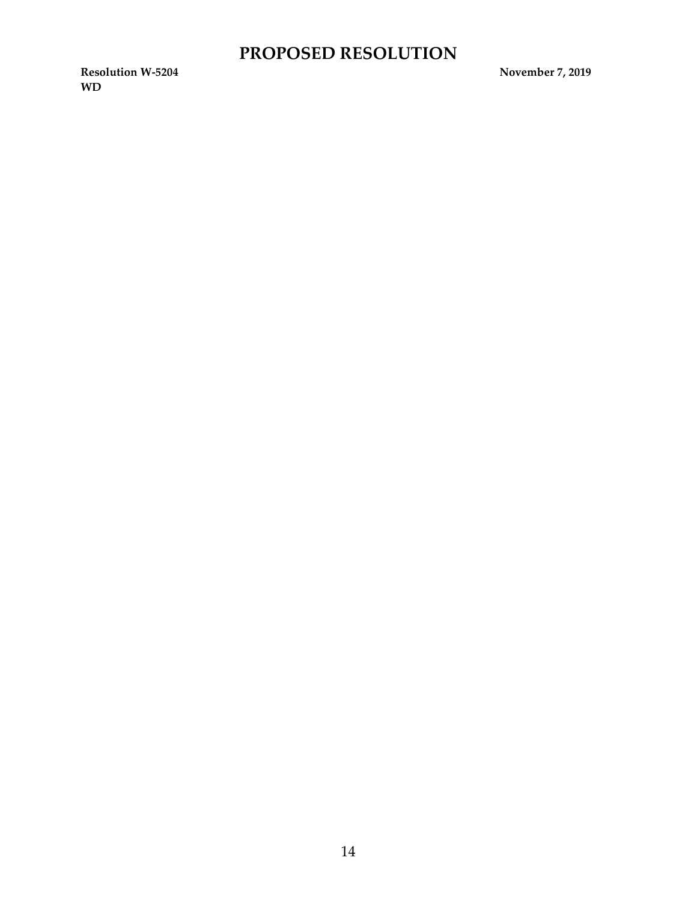**Resolution W-5204 WD**

 **November 7, 2019**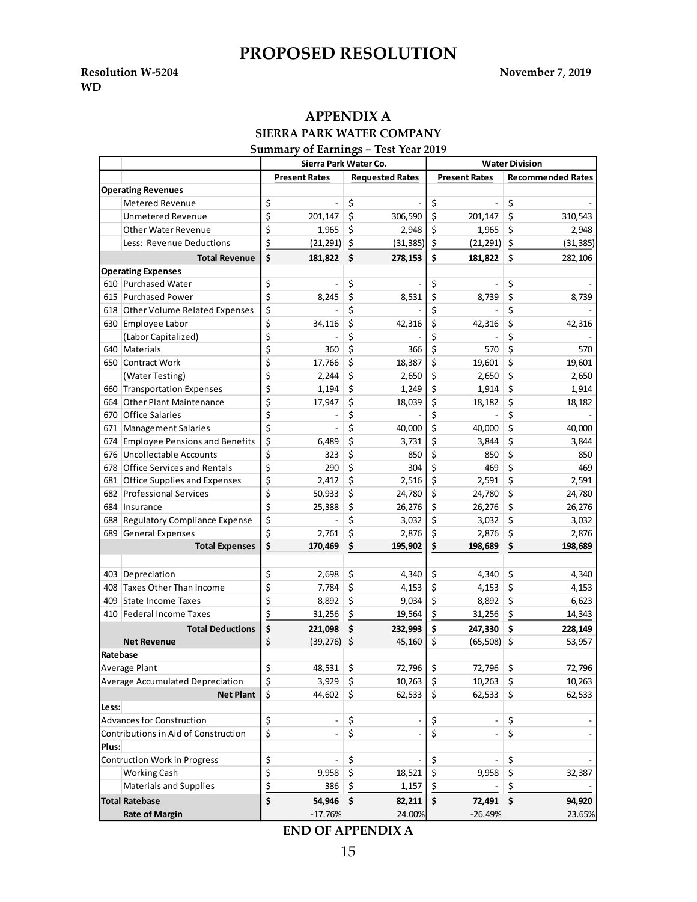**November 7, 2019** 

## **APPENDIX A**

## **SIERRA PARK WATER COMPANY**

**Summary of Earnings – Test Year 2019**

|                                      |                                       | Sierra Park Water Co. |                      | <b>Water Division</b>  |    |                      |    |                          |
|--------------------------------------|---------------------------------------|-----------------------|----------------------|------------------------|----|----------------------|----|--------------------------|
|                                      |                                       |                       | <b>Present Rates</b> | <b>Requested Rates</b> |    | <b>Present Rates</b> |    | <b>Recommended Rates</b> |
|                                      | <b>Operating Revenues</b>             |                       |                      |                        |    |                      |    |                          |
|                                      | Metered Revenue                       | \$                    |                      | \$                     | \$ |                      | \$ |                          |
|                                      | <b>Unmetered Revenue</b>              | \$                    | 201,147              | \$<br>306,590          | \$ | 201.147              | \$ | 310,543                  |
|                                      | <b>Other Water Revenue</b>            | \$                    | 1,965                | \$<br>2,948            | \$ | 1,965                | \$ | 2,948                    |
|                                      | Less: Revenue Deductions              | \$                    | (21, 291)            | \$<br>(31, 385)        | \$ | (21, 291)            | \$ | (31, 385)                |
|                                      | <b>Total Revenue</b>                  | \$                    | 181,822              | \$<br>278,153          | \$ | 181,822              | \$ | 282,106                  |
|                                      | <b>Operating Expenses</b>             |                       |                      |                        |    |                      |    |                          |
| 610                                  | <b>Purchased Water</b>                | \$                    |                      | \$                     | \$ |                      | \$ |                          |
| 615                                  | <b>Purchased Power</b>                | \$                    | 8,245                | \$<br>8,531            | \$ | 8,739                | \$ | 8,739                    |
| 618                                  | <b>Other Volume Related Expenses</b>  | \$                    |                      | \$                     | \$ |                      | \$ |                          |
| 630                                  | Employee Labor                        | \$                    | 34,116               | \$<br>42,316           | \$ | 42,316               | \$ | 42,316                   |
|                                      | (Labor Capitalized)                   | \$                    |                      | \$                     | \$ |                      | \$ |                          |
| 640                                  | Materials                             | \$                    | 360                  | \$<br>366              | \$ | 570                  | \$ | 570                      |
| 650                                  | Contract Work                         | \$                    | 17,766               | \$<br>18,387           | \$ | 19,601               | \$ | 19,601                   |
|                                      | (Water Testing)                       | \$                    | 2,244                | \$<br>2,650            | \$ | 2,650                | \$ | 2,650                    |
| 660                                  | <b>Transportation Expenses</b>        | \$                    | 1,194                | \$<br>1,249            | \$ | 1,914                | \$ | 1,914                    |
| 664                                  | <b>Other Plant Maintenance</b>        | \$                    | 17,947               | \$<br>18,039           | \$ | 18,182               | \$ | 18,182                   |
| 670                                  | <b>Office Salaries</b>                | \$                    |                      | \$                     | \$ |                      | \$ |                          |
| 671                                  | <b>Management Salaries</b>            | \$                    |                      | \$<br>40,000           | \$ | 40,000               | \$ | 40,000                   |
| 674                                  | <b>Employee Pensions and Benefits</b> | \$                    | 6,489                | \$<br>3,731            | \$ | 3,844                | \$ | 3,844                    |
| 676                                  | <b>Uncollectable Accounts</b>         | \$                    | 323                  | \$<br>850              | \$ | 850                  | \$ | 850                      |
| 678                                  | <b>Office Services and Rentals</b>    | \$                    | 290                  | \$<br>304              | \$ | 469                  | \$ | 469                      |
| 681                                  | <b>Office Supplies and Expenses</b>   | \$                    | 2,412                | \$<br>2,516            | \$ | 2,591                | \$ | 2,591                    |
| 682                                  | <b>Professional Services</b>          | \$                    | 50,933               | \$<br>24,780           | \$ | 24,780               | \$ | 24,780                   |
| 684                                  | Insurance                             | \$                    | 25,388               | \$<br>26,276           | \$ | 26,276               | \$ | 26,276                   |
| 688                                  | <b>Regulatory Compliance Expense</b>  | \$                    |                      | \$<br>3,032            | \$ | 3,032                | \$ | 3,032                    |
| 689                                  | General Expenses                      | \$                    | 2,761                | \$<br>2,876            | \$ | 2,876                | \$ | 2,876                    |
|                                      | <b>Total Expenses</b>                 | \$                    | 170,469              | \$<br>195,902          | \$ | 198,689              | \$ | 198,689                  |
|                                      |                                       |                       |                      |                        |    |                      |    |                          |
| 403                                  | Depreciation                          | \$                    | 2,698                | \$<br>4,340            | \$ | 4,340                | \$ | 4,340                    |
| 408                                  | <b>Taxes Other Than Income</b>        | \$                    | 7,784                | \$<br>4,153            | \$ | 4,153                | \$ | 4,153                    |
| 409                                  | <b>State Income Taxes</b>             | \$                    | 8,892                | \$<br>9,034            | \$ | 8,892                | \$ | 6,623                    |
| 410                                  | Federal Income Taxes                  | \$                    | 31,256               | \$<br>19,564           | \$ | 31,256               | \$ | 14,343                   |
|                                      | <b>Total Deductions</b>               | \$                    | 221,098              | \$<br>232,993          | \$ | 247,330              | \$ | 228,149                  |
|                                      | <b>Net Revenue</b>                    | \$                    | (39, 276)            | \$<br>45,160           | \$ | (65, 508)            | \$ | 53,957                   |
| Ratebase                             |                                       |                       |                      |                        |    |                      |    |                          |
|                                      | Average Plant                         | \$                    | 48,531 \$            | 72,796                 | \$ | 72,796               | \$ | 72,796                   |
|                                      | Average Accumulated Depreciation      | \$                    | $3,929$ \$           | 10,263                 | \$ | 10,263               | \$ | 10,263                   |
|                                      | <b>Net Plant</b>                      | \$                    | 44,602               | \$<br>62,533           | \$ | 62,533               | \$ | 62,533                   |
| Less:                                |                                       |                       |                      |                        |    |                      |    |                          |
|                                      | Advances for Construction             | \$                    |                      | \$                     | \$ |                      | \$ |                          |
| Contributions in Aid of Construction |                                       | \$                    |                      | \$                     | \$ |                      | \$ |                          |
| Plus:                                |                                       |                       |                      |                        |    |                      |    |                          |
| Contruction Work in Progress         |                                       | \$                    |                      | \$                     | \$ |                      | \$ |                          |
|                                      | <b>Working Cash</b>                   | \$                    | 9,958                | \$<br>18,521           | \$ | 9,958                | \$ | 32,387                   |
|                                      | Materials and Supplies                | \$                    | 386                  | \$<br>1,157            | \$ |                      | \$ |                          |
|                                      | <b>Total Ratebase</b>                 | \$                    | 54,946               | \$<br>82,211           | \$ | 72,491 \$            |    | 94,920                   |
|                                      | <b>Rate of Margin</b>                 |                       | $-17.76%$            | 24.00%                 |    | $-26.49%$            |    | 23.65%                   |

### **END OF APPENDIX A**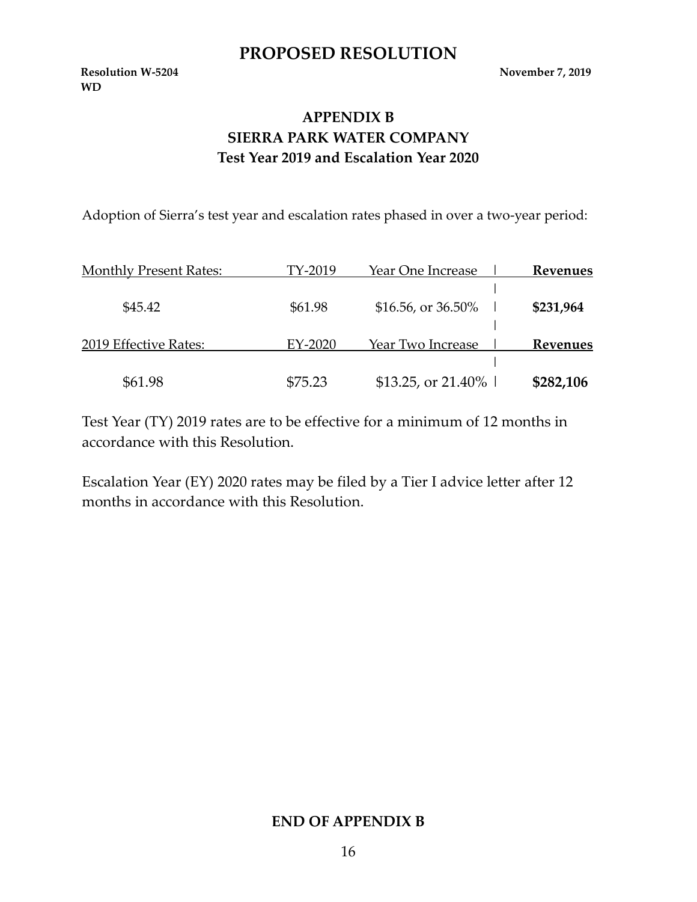**Resolution W-5204 WD**

 **November 7, 2019** 

## **APPENDIX B SIERRA PARK WATER COMPANY Test Year 2019 and Escalation Year 2020**

Adoption of Sierra's test year and escalation rates phased in over a two-year period:

| <b>Monthly Present Rates:</b> | TY-2019   | Year One Increase     | Revenues        |
|-------------------------------|-----------|-----------------------|-----------------|
| \$45.42                       | \$61.98   | \$16.56, or $36.50\%$ | \$231,964       |
| 2019 Effective Rates:         | $EY-2020$ | Year Two Increase     | <b>Revenues</b> |
| \$61.98                       | \$75.23   | \$13.25, or $21.40\%$ | \$282,106       |

Test Year (TY) 2019 rates are to be effective for a minimum of 12 months in accordance with this Resolution.

Escalation Year (EY) 2020 rates may be filed by a Tier I advice letter after 12 months in accordance with this Resolution.

#### **END OF APPENDIX B**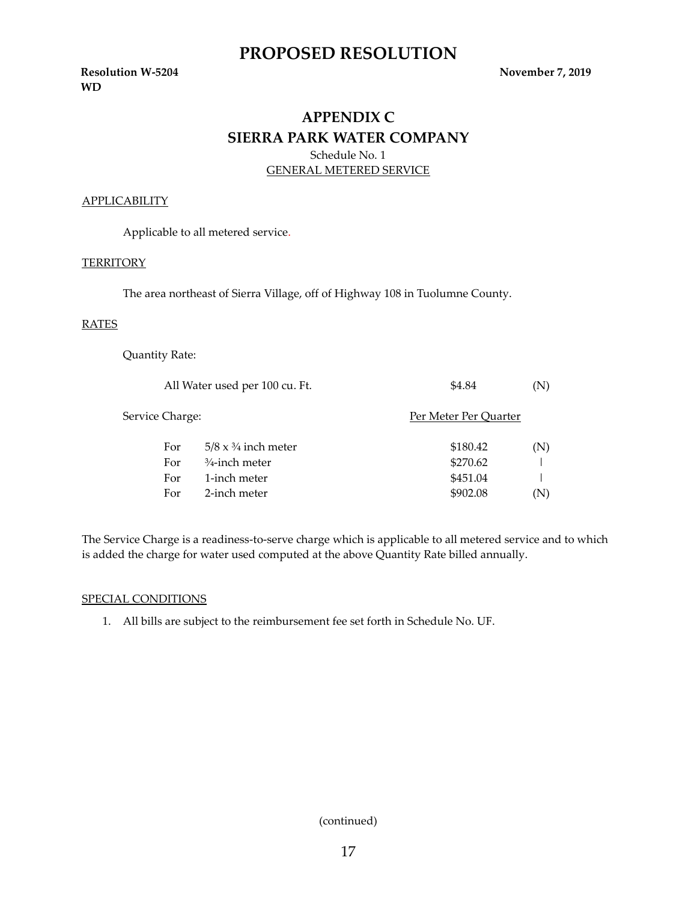**Resolution W-5204 WD**

 **November 7, 2019** 

#### **APPENDIX C SIERRA PARK WATER COMPANY** Schedule No. 1 GENERAL METERED SERVICE

#### APPLICABILITY

Applicable to all metered service.

#### **TERRITORY**

The area northeast of Sierra Village, off of Highway 108 in Tuolumne County.

#### RATES

| Quantity Rate:  |                                |                       |             |
|-----------------|--------------------------------|-----------------------|-------------|
|                 | All Water used per 100 cu. Ft. | \$4.84                | (N)         |
| Service Charge: |                                | Per Meter Per Ouarter |             |
| For             | $5/8 \times 3/4$ inch meter    | \$180.42              | (N)         |
| For             | $\frac{3}{4}$ -inch meter      | \$270.62              |             |
| For             | 1-inch meter                   | \$451.04              |             |
| For             | 2-inch meter                   | \$902.08              | $({\rm N})$ |
|                 |                                |                       |             |

The Service Charge is a readiness-to-serve charge which is applicable to all metered service and to which is added the charge for water used computed at the above Quantity Rate billed annually.

#### SPECIAL CONDITIONS

1. All bills are subject to the reimbursement fee set forth in Schedule No. UF.

(continued)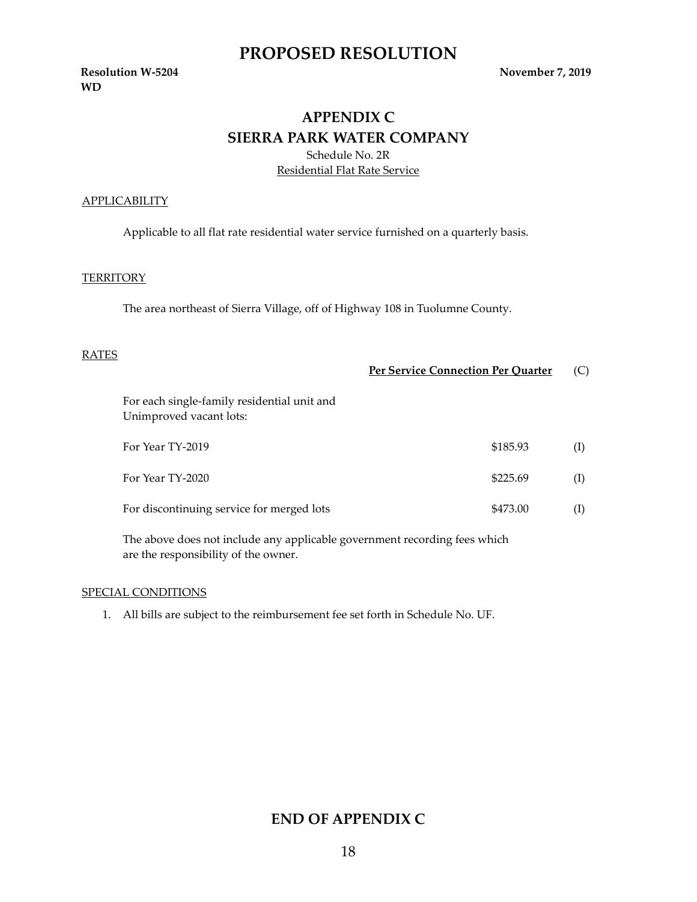**Resolution W-5204 WD**

 **November 7, 2019** 

#### **APPENDIX C SIERRA PARK WATER COMPANY** Schedule No. 2R Residential Flat Rate Service

#### **APPLICABILITY**

Applicable to all flat rate residential water service furnished on a quarterly basis.

#### **TERRITORY**

The area northeast of Sierra Village, off of Highway 108 in Tuolumne County.

#### RATES

|                                                                        | <b>Per Service Connection Per Quarter</b> |     |
|------------------------------------------------------------------------|-------------------------------------------|-----|
| For each single-family residential unit and<br>Unimproved vacant lots: |                                           |     |
| For Year TY-2019                                                       | \$185.93                                  | (1) |
| For Year TY-2020                                                       | \$225.69                                  | (1) |
| For discontinuing service for merged lots                              | \$473.00                                  | (1) |

The above does not include any applicable government recording fees which are the responsibility of the owner.

#### SPECIAL CONDITIONS

1. All bills are subject to the reimbursement fee set forth in Schedule No. UF.

#### **END OF APPENDIX C**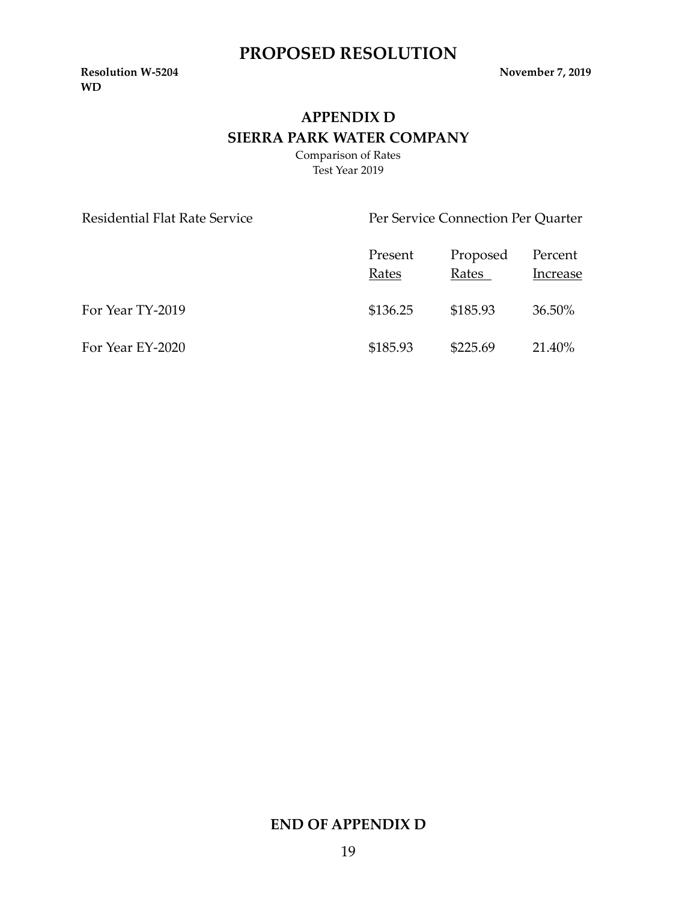**Resolution W-5204 WD**

 **November 7, 2019** 

## **APPENDIX D SIERRA PARK WATER COMPANY**

Comparison of Rates Test Year 2019

| <b>Residential Flat Rate Service</b> | Per Service Connection Per Quarter |                   |                     |
|--------------------------------------|------------------------------------|-------------------|---------------------|
|                                      | Present<br>Rates                   | Proposed<br>Rates | Percent<br>Increase |
| For Year TY-2019                     | \$136.25                           | \$185.93          | 36.50%              |
| For Year EY-2020                     | \$185.93                           | \$225.69          | 21.40%              |

## **END OF APPENDIX D**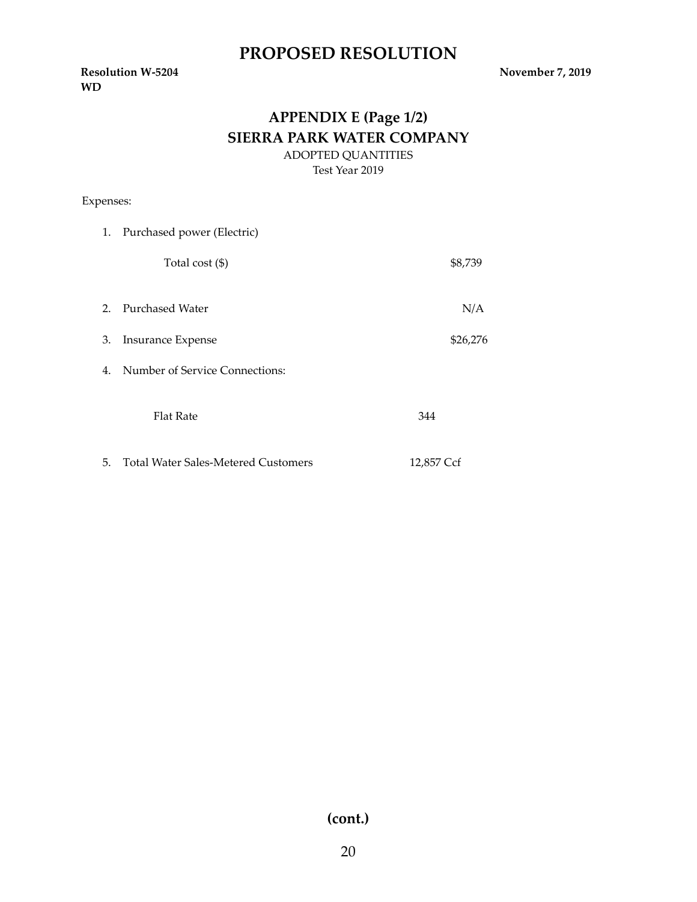**Resolution W-5204 WD**

 **November 7, 2019** 

#### **APPENDIX E (Page 1/2) SIERRA PARK WATER COMPANY** ADOPTED QUANTITIES Test Year 2019

#### Expenses:

| 1. | Purchased power (Electric)             |            |
|----|----------------------------------------|------------|
|    | Total cost $(\$)$                      | \$8,739    |
| 2. | <b>Purchased Water</b>                 | N/A        |
| 3. | Insurance Expense                      | \$26,276   |
| 4. | Number of Service Connections:         |            |
|    | <b>Flat Rate</b>                       | 344        |
|    | 5. Total Water Sales-Metered Customers | 12,857 Ccf |

## **(cont.)**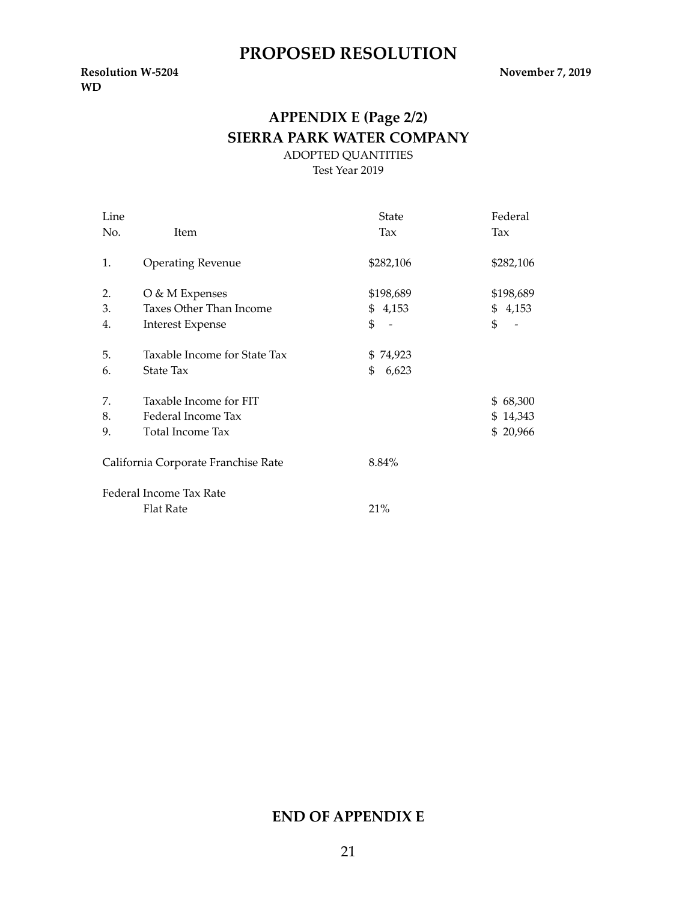**Resolution W-5204 WD**

 **November 7, 2019** 

#### **APPENDIX E (Page 2/2) SIERRA PARK WATER COMPANY** ADOPTED QUANTITIES Test Year 2019

| Line |                                     | State                          | Federal   |
|------|-------------------------------------|--------------------------------|-----------|
| No.  | Item                                | Tax                            | Tax       |
| 1.   | <b>Operating Revenue</b>            | \$282,106                      | \$282,106 |
| 2.   | O & M Expenses                      | \$198,689                      | \$198,689 |
| 3.   | Taxes Other Than Income             | 4,153<br>\$                    | \$4,153   |
| 4.   | <b>Interest Expense</b>             | \$<br>$\overline{\phantom{a}}$ | \$        |
| 5.   | Taxable Income for State Tax        | \$74,923                       |           |
| 6.   | State Tax                           | \$<br>6,623                    |           |
| 7.   | Taxable Income for FIT              |                                | \$68,300  |
| 8.   | Federal Income Tax                  |                                | \$14,343  |
| 9.   | Total Income Tax                    |                                | \$20,966  |
|      | California Corporate Franchise Rate | 8.84%                          |           |
|      | Federal Income Tax Rate             |                                |           |
|      | <b>Flat Rate</b>                    | 21%                            |           |

### **END OF APPENDIX E**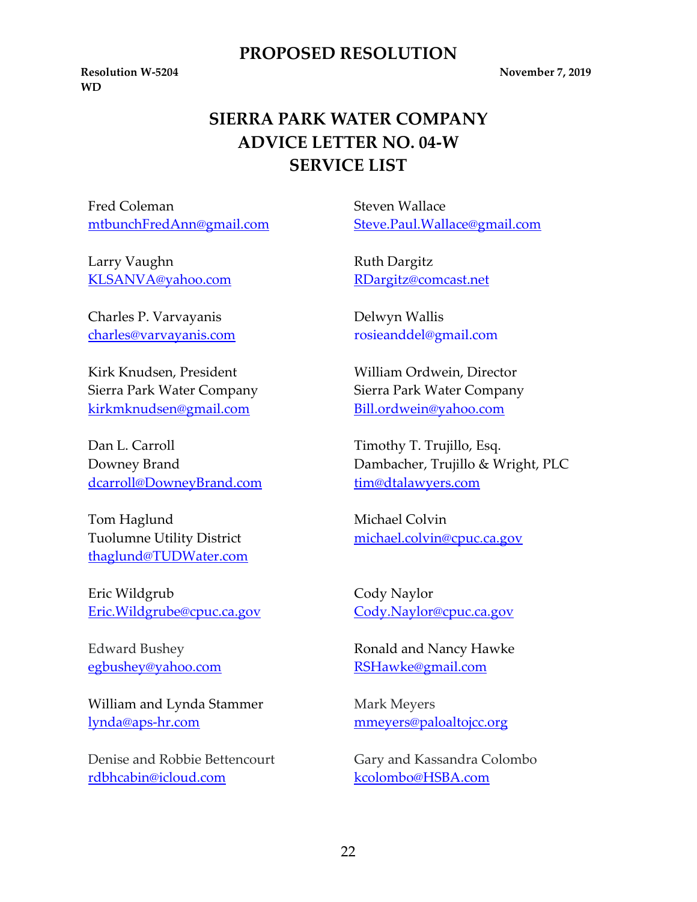rosieanddel@gmail.com

William Ordwein, Director Sierra Park Water Company [Bill.ordwein@yahoo.com](mailto:Bill.ordwein@yahoo.com)

Timothy T. Trujillo, Esq. Dambacher, Trujillo & Wright, PLC [tim@dtalawyers.com](mailto:tim@dtalawyers.com)

Michael Colvin [michael.colvin@cpuc.ca.gov](mailto:michael.colvin@cpuc.ca.gov)

Cody Naylor [Cody.Naylor@cpuc.ca.gov](mailto:Cody.Naylor@cpuc.ca.gov)

Ronald and Nancy Hawke [RSHawke@gmail.com](mailto:RSHawke@gmail.com)

Mark Meyers [mmeyers@paloaltojcc.org](mailto:mmeyers@paloaltojcc.org)

22

Gary and Kassandra Colombo [kcolombo@HSBA.com](mailto:kcolombo@HSBA.com)

## **SIERRA PARK WATER COMPANY ADVICE LETTER NO. 04-W SERVICE LIST**

Fred Coleman [mtbunchFredAnn@gmail.com](mailto:mtbunchFredAnn@gmail.com)

Larry Vaughn [KLSANVA@yahoo.com](mailto:KLSANVA@yahoo.com)

**Resolution W-5204**

**WD**

Charles P. Varvayanis [charles@varvayanis.com](mailto:charles@varvayanis.com)

Kirk Knudsen, President Sierra Park Water Company [kirkmknudsen@gmail.com](mailto:kirkmknudsen@gmail.com)

Dan L. Carroll Downey Brand [dcarroll@DowneyBrand.com](mailto:dcarroll@DowneyBrand.com)

Tom Haglund Tuolumne Utility District [thaglund@TUDWater.com](mailto:thaglund@TUDWater.com)

Eric Wildgrub [Eric.Wildgrube@cpuc.ca.gov](mailto:Eric.Wildgrube@cpuc.ca.gov)

Edward Bushey [egbushey@yahoo.com](mailto:egbushey@yahoo.com)

William and Lynda Stammer [lynda@aps-hr.com](mailto:lynda@aps-hr.com)

[rdbhcabin@icloud.com](mailto:rdbhcabin@icloud.com)

**PROPOSED RESOLUTION**

Steven Wallace [Steve.Paul.Wallace@gmail.com](mailto:Steve.Paul.Wallace@gmail.com)

Ruth Dargitz

[RDargitz@comcast.net](mailto:RDargitz@comcast.net)

Delwyn Wallis

 **November 7, 2019** 

Denise and Robbie Bettencourt